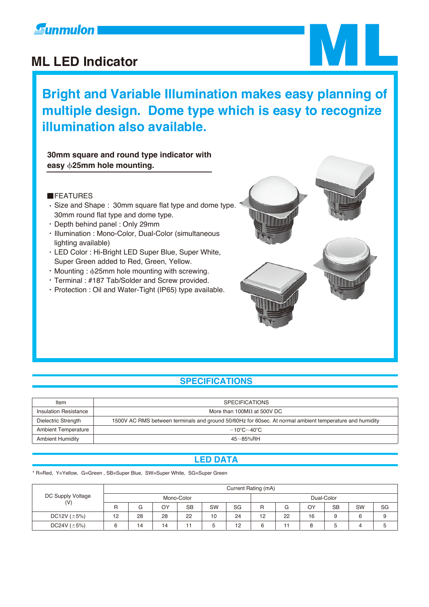### **Gunmulon**

### **ML LED Indicator**

**Bright and Variable Illumination makes easy planning of multiple design. Dome type which is easy to recognize illumination also available.**

**30mm square and round type indicator with easy** b**25mm hole mounting.**

### **FEATURES**

- Size and Shape : 30mm square flat type and dome type. 30mm round flat type and dome type.
- Depth behind panel : Only 29mm
- Illumination : Mono-Color, Dual-Color (simultaneous lighting available)
- LED Color : Hi-Bright LED Super Blue, Super White, Super Green added to Red, Green, Yellow.
- $\cdot$  Mounting :  $\phi$ 25mm hole mounting with screwing.
- Terminal : #187 Tab/Solder and Screw provided.
- Protection : Oil and Water-Tight (IP65) type available.



ML

### **SPECIFICATIONS**

| Item                       | <b>SPECIFICATIONS</b>                                                                                   |
|----------------------------|---------------------------------------------------------------------------------------------------------|
| Insulation Resistance      | More than 100M $\Omega$ at 500V DC                                                                      |
| Dielectric Strength        | 1500V AC RMS between terminals and ground 50/60Hz for 60sec. At normal ambient temperature and humidity |
| <b>Ambient Temperature</b> | $-10^{\circ}$ C $\sim$ 40 $^{\circ}$ C                                                                  |
| <b>Ambient Humidity</b>    | $45 - 85%$ RH                                                                                           |

### **LED DATA**

\* R=Red, Y=Yellow, G=Green , SB=Super Blue, SW=Super White, SG=Super Green

| DC Supply Voltage<br>(V) | Current Rating (mA) |    |    |           |                 |    |            |    |    |           |    |    |
|--------------------------|---------------------|----|----|-----------|-----------------|----|------------|----|----|-----------|----|----|
|                          | Mono-Color          |    |    |           |                 |    | Dual-Color |    |    |           |    |    |
|                          | R                   | G  | ОY | <b>SB</b> | SW              | SG | R          | G  | ΟY | <b>SB</b> | SW | SG |
| DC12V $(\pm 5\%)$        | 12                  | 28 | 28 | 22        | 10 <sup>°</sup> | 24 | 12         | 22 | 16 |           |    |    |
| DC24V $(\pm 5\%)$        |                     | 14 | 14 |           | b               | 12 | R          |    |    | ٥         |    | h  |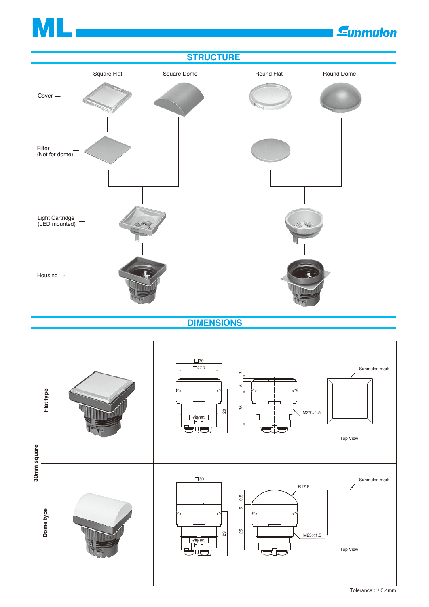# ML



**Sunmulon** 

 **DIMENSIONS**

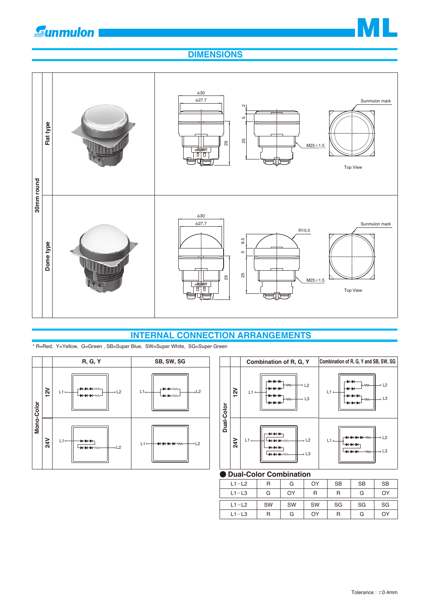



### **DIMENSIONS**



### **INTERNAL CONNECTION ARRANGEMENTS**



| R, G, Y                                           | SB, SW, SG                                                                                             |            |     | Combination of R, G, Y                                                                | Combination of R, G, Y and SB, SW, SG                                                    |
|---------------------------------------------------|--------------------------------------------------------------------------------------------------------|------------|-----|---------------------------------------------------------------------------------------|------------------------------------------------------------------------------------------|
| +₩₩₩<br>$-0L2$<br>+₩₩₩                            | <b>INN</b> W⊣<br>$-0L2$<br>$L1$ <sub>o</sub> $-$<br>$\blacksquare\blacksquare\blacksquare\blacksquare$ |            | 12V | . .<br>$\sim$ L2<br>–w∼<br>$L1$ <sup>o-</sup><br>$\rightarrow$ L3<br>⊦w∼              | ╺<br>$\sim$ L <sub>2</sub><br>⊦w∼<br>$L1 -$<br>$\sim$ L3<br>-w-                          |
| ⊸L2<br>$\leftrightarrow$ $\leftrightarrow$ $\sim$ | $L1$ $-$<br>$-0L2$<br><b>HHHHW</b>                                                                     | Dual-Color | 24V | ▸ ┣┼╂<br>$-0$ L2<br>$L1 -$<br><b>NNNW</b><br>. .<br>$\sim$ L3<br>– <del>אי או א</del> | $\sim$ 12<br>$L1$ <sub>o</sub><br>$\overline{\phantom{a}}$ L3<br>– <del>⊣ ⊣</del><br>-w∼ |
|                                                   |                                                                                                        |            |     | $\blacksquare$                                                                        |                                                                                          |

### **Dual-Color Combination**

| $L1 - L2$ | R  | G  | OY | <b>SB</b> | <b>SB</b> | <b>SB</b> |
|-----------|----|----|----|-----------|-----------|-----------|
| $L1 - L3$ | G  | OY | R  | R         | G         | OY        |
| $L1 - L2$ | SW | SW | SW | SG        | SG        | SG        |
| $L1 - L3$ | R  | G  | OY | R         | G         | OY        |

\* R=Red, Y=Yellow, G=Green , SB=Super Blue, SW=Super White, SG=Super Green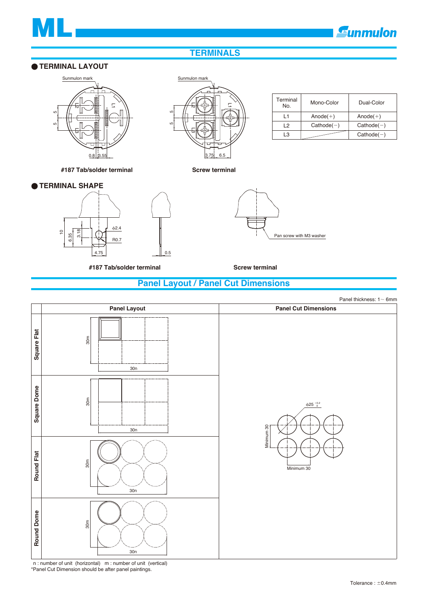

 $Anode(+)$  $Cathode(-)$  $Cathode(-)$ 

Mono-Color Dual-Color

 $Anode(+)$  $Cathode(-)$ 

### **TERMINALS**

### **TERMINAL LAYOUT**



**#187 Tab/solder terminal Screw terminal**

### **TERMINAL SHAPE**



**#187 Tab/solder terminal Screw terminal**

 $\overline{2}$ L1  $\Xi$ ٢Ω เ<br>5<br>เว 3.75 6.5



 $L1$ L2  $L3$ 

Terminal<br>No.

### **Panel Layout / Panel Cut Dimensions**

Panel thickness:  $1 - 6$ mm **Panel Layout Panel Cut Dimensions** Square Flat **Square Flat Square Dome Round Flat** 30m 30n **Square Dome** 30m  $\Phi$ 25  $^{+0.2}_{-0.2}$ dinimum 30 Minimum 30 30n Round Flat 30m Minimum 30 30n Round Dome **Round Dome** 30m 30n

n : number of unit (horizontal) m : number of unit (vertical) \*Panel Cut Dimension should be after panel paintings.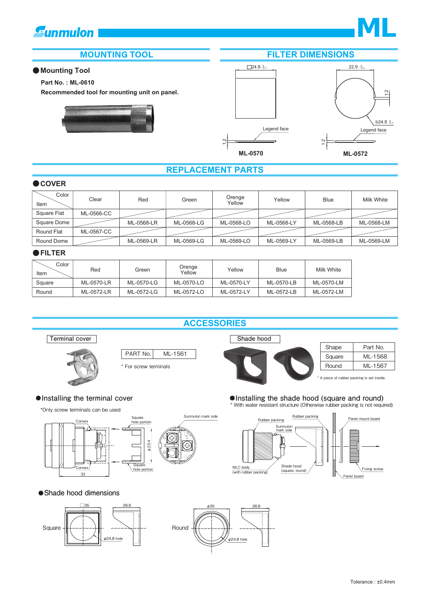## *<u>Eunmulon</u>*



### **Mounting Tool**

### **Part No. : ML-0610**

**Recommended tool for mounting unit on panel.**





### **REPLACEMENT PARTS**

### **COVER**

| Color<br>Item     | Clear      | Red        | Green      | Orenge<br>Yellow | Yellow     | <b>Blue</b> | Milk White |
|-------------------|------------|------------|------------|------------------|------------|-------------|------------|
| Square Flat       | ML-0566-CC |            |            |                  |            |             |            |
| Square Dome       |            | ML-0568-LR | ML-0568-LG | ML-0568-LO       | ML-0568-LY | ML-0568-LB  | ML-0568-LM |
| <b>Round Flat</b> | ML-0567-CC |            |            |                  |            |             |            |
| Round Dome        |            | ML-0569-LR | ML-0569-LG | ML-0569-LO       | ML-0569-LY | ML-0569-LB  | ML-0569-LM |

### **FILTER**

| Color<br>Item | Red        | Green      | Orenge<br>Yellow | Yellow     | Blue       | Milk White |
|---------------|------------|------------|------------------|------------|------------|------------|
| Square        | ML-0570-LR | ML-0570-LG | ML-0570-LO       | ML-0570-LY | ML-0570-LB | ML-0570-LM |
| Round         | ML-0572-LR | ML-0572-LG | ML-0572-LO       | ML-0572-LY | ML-0572-LB | ML-0572-LM |

### **ACCESSORIES**

Sunmulon mark side





PART No.

ML-1561

\*Only screw terminals can be used



### **Shade hood dimensions**







A piece of rubber packing is set inside.

**Installing the terminal cover Installing the shade hood (square and round)**  $\blacksquare$ \* With water resistant structure (Otherwise rubber packing is not required)